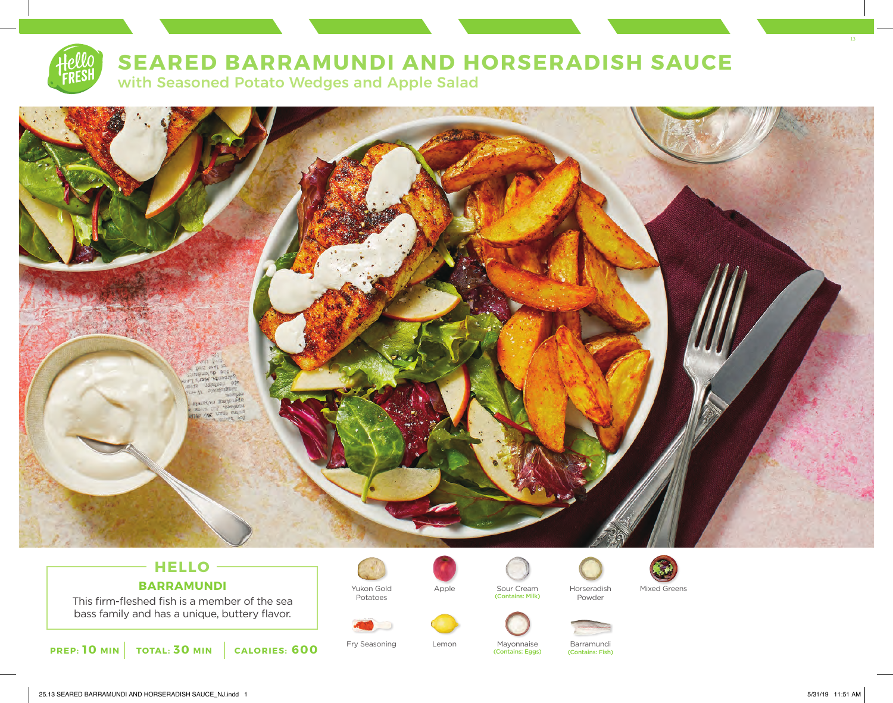

## **SEARED BARRAMUNDI AND HORSERADISH SAUCE**

with Seasoned Potato Wedges and Apple Salad



## **HELLO BARRAMUNDI**

This firm-fleshed fish is a member of the sea bass family and has a unique, buttery flavor.





Yukon Gold Potatoes



Apple Sour Cream Mixed Greens (Contains: Milk)

(Contains: Eggs)







Fry Seasoning Lemon Mayonnaise Barramundi (Contains: Fish) 13